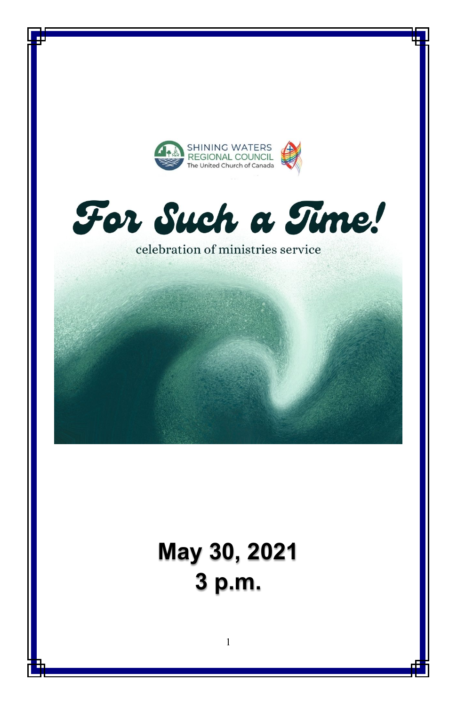



celebration of ministries service

# **May 30, 2021 3 p.m.**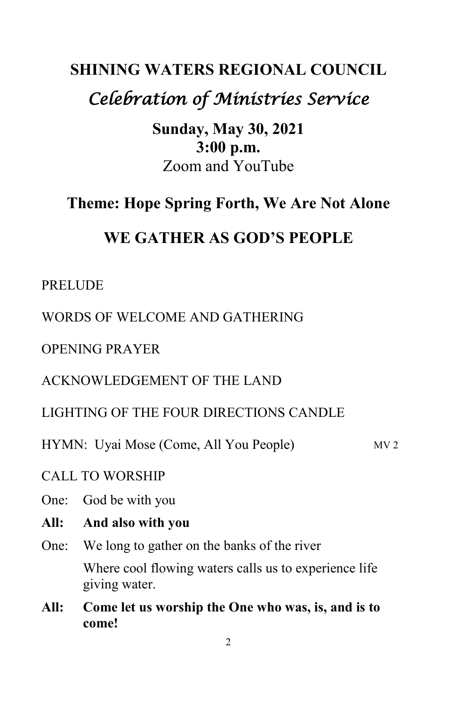# **SHINING WATERS REGIONAL COUNCIL** *Celebration of Ministries Service*

**Sunday, May 30, 2021 3:00 p.m.** Zoom and YouTube

# **Theme: Hope Spring Forth, We Are Not Alone**

# **WE GATHER AS GOD'S PEOPLE**

#### PRELUDE

WORDS OF WELCOME AND GATHERING

OPENING PRAYER

ACKNOWLEDGEMENT OF THE LAND

LIGHTING OF THE FOUR DIRECTIONS CANDLE

HYMN: Uyai Mose (Come, All You People) MV 2

CALL TO WORSHIP

- One: God be with you
- **All: And also with you**
- One: We long to gather on the banks of the river Where cool flowing waters calls us to experience life giving water.
- **All: Come let us worship the One who was, is, and is to come!**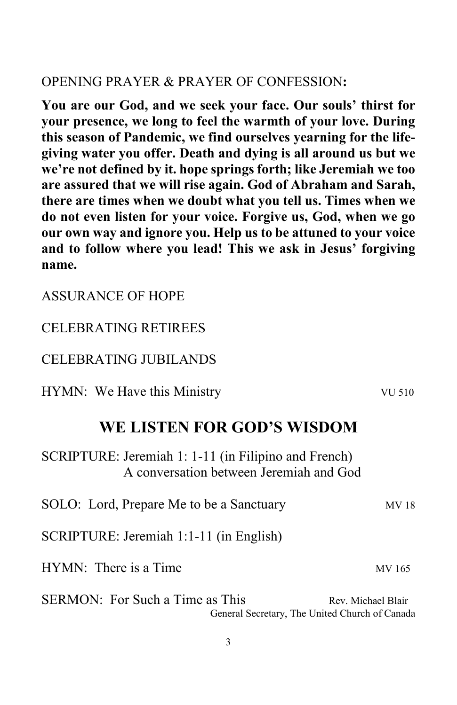#### OPENING PRAYER & PRAYER OF CONFESSION**:**

**You are our God, and we seek your face. Our souls' thirst for your presence, we long to feel the warmth of your love. During this season of Pandemic, we find ourselves yearning for the lifegiving water you offer. Death and dying is all around us but we we're not defined by it. hope springs forth; like Jeremiah we too are assured that we will rise again. God of Abraham and Sarah, there are times when we doubt what you tell us. Times when we do not even listen for your voice. Forgive us, God, when we go our own way and ignore you. Help us to be attuned to your voice and to follow where you lead! This we ask in Jesus' forgiving name.**

| <b>ASSURANCE OF HOPE</b> |  |
|--------------------------|--|
|                          |  |

#### CELEBRATING RETIREES

#### CELEBRATING JUBILANDS

HYMN: We Have this Ministry VU 510

# **WE LISTEN FOR GOD'S WISDOM**

SCRIPTURE: Jeremiah 1: 1-11 (in Filipino and French) A conversation between Jeremiah and God

| SOLO: Lord, Prepare Me to be a Sanctuary | MV 18              |
|------------------------------------------|--------------------|
| SCRIPTURE: Jeremiah 1:1-11 (in English)  |                    |
| HYMN: There is a Time                    | MV 165             |
| <b>SERMON:</b> For Such a Time as This   | Rev. Michael Blair |

General Secretary, The United Church of Canada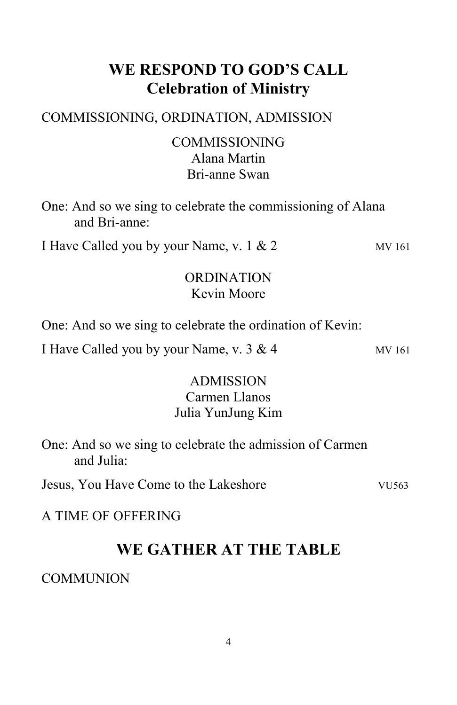# **WE RESPOND TO GOD'S CALL Celebration of Ministry**

# COMMISSIONING, ORDINATION, ADMISSION

# COMMISSIONING Alana Martin Bri-anne Swan

One: And so we sing to celebrate the commissioning of Alana and Bri-anne:

I Have Called you by your Name, v.  $1 \& 2$  MV 161

### ORDINATION Kevin Moore

One: And so we sing to celebrate the ordination of Kevin:

I Have Called you by your Name, v.  $3 & 4$  MV 161

# ADMISSION Carmen Llanos

# Julia YunJung Kim

One: And so we sing to celebrate the admission of Carmen and Julia:

Jesus, You Have Come to the Lakeshore VU563

# A TIME OF OFFERING

# **WE GATHER AT THE TABLE**

# **COMMUNION**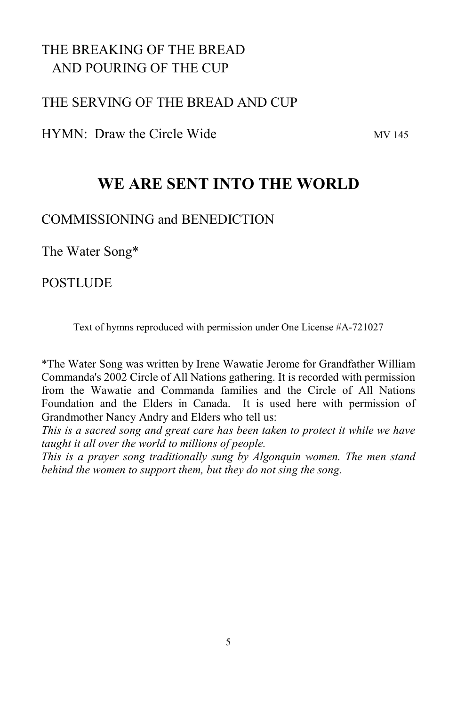# THE BREAKING OF THE BREAD AND POURING OF THE CUP

### THE SERVING OF THE BREAD AND CUP

 $HYMN: Draw the Circle Wide$ 

# **WE ARE SENT INTO THE WORLD**

#### COMMISSIONING and BENEDICTION

The Water Song\*

#### **POSTLUDE**

Text of hymns reproduced with permission under One License #A-721027

\*The Water Song was written by Irene Wawatie Jerome for Grandfather William Commanda's 2002 Circle of All Nations gathering. It is recorded with permission from the Wawatie and Commanda families and the Circle of All Nations Foundation and the Elders in Canada. It is used here with permission of Grandmother Nancy Andry and Elders who tell us:

*This is a sacred song and great care has been taken to protect it while we have taught it all over the world to millions of people.* 

*This is a prayer song traditionally sung by Algonquin women. The men stand behind the women to support them, but they do not sing the song.*